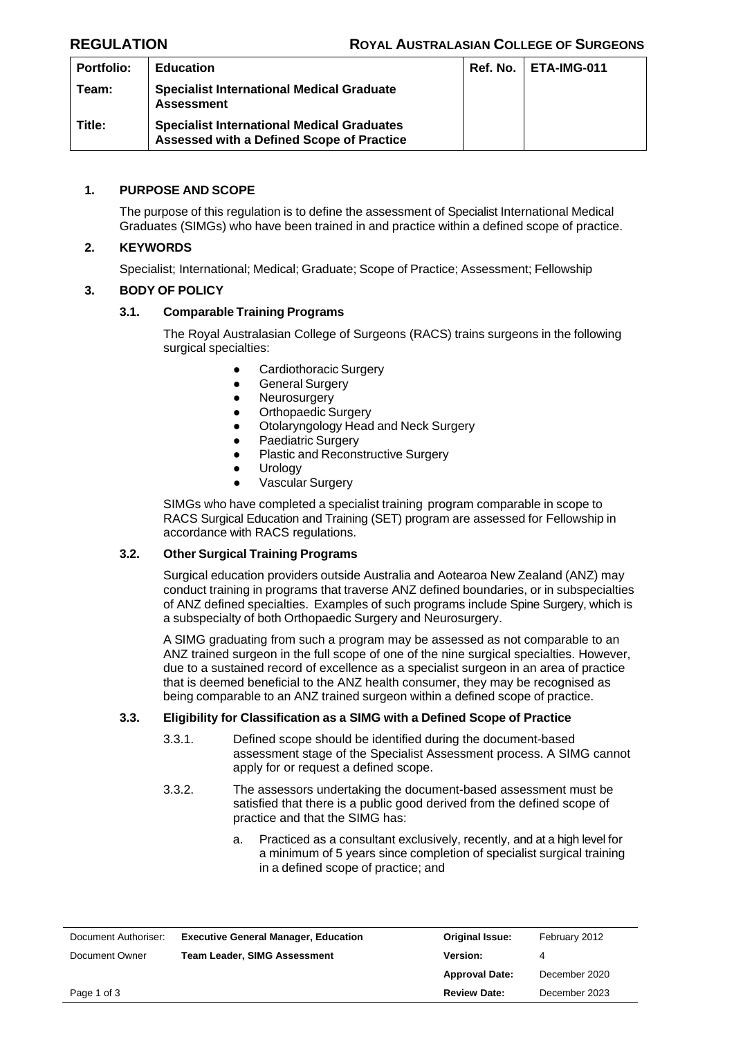| <b>Portfolio:</b> | <b>Education</b>                                                                               | Ref. No. | I ETA-IMG-011 |
|-------------------|------------------------------------------------------------------------------------------------|----------|---------------|
| Team:             | <b>Specialist International Medical Graduate</b><br><b>Assessment</b>                          |          |               |
| Title:            | <b>Specialist International Medical Graduates</b><br>Assessed with a Defined Scope of Practice |          |               |

## **1. PURPOSE AND SCOPE**

The purpose of this regulation is to define the assessment of Specialist International Medical Graduates (SIMGs) who have been trained in and practice within a defined scope of practice.

## **2. KEYWORDS**

Specialist; International; Medical; Graduate; Scope of Practice; Assessment; Fellowship

## **3. BODY OF POLICY**

## **3.1. Comparable Training Programs**

The Royal Australasian College of Surgeons (RACS) trains surgeons in the following surgical specialties:

- Cardiothoracic Surgery
- **•** General Surgery
- Neurosurgery
- Orthopaedic Surgery
- Otolaryngology Head and Neck Surgery
- Paediatric Surgery
- Plastic and Reconstructive Surgery
- Urology
- Vascular Surgery

SIMGs who have completed a specialist training program comparable in scope to RACS Surgical Education and Training (SET) program are assessed for Fellowship in accordance with RACS regulations.

### **3.2. Other Surgical Training Programs**

Surgical education providers outside Australia and Aotearoa New Zealand (ANZ) may conduct training in programs that traverse ANZ defined boundaries, or in subspecialties of ANZ defined specialties. Examples of such programs include Spine Surgery, which is a subspecialty of both Orthopaedic Surgery and Neurosurgery.

A SIMG graduating from such a program may be assessed as not comparable to an ANZ trained surgeon in the full scope of one of the nine surgical specialties. However, due to a sustained record of excellence as a specialist surgeon in an area of practice that is deemed beneficial to the ANZ health consumer, they may be recognised as being comparable to an ANZ trained surgeon within a defined scope of practice.

### **3.3. Eligibility for Classification as a SIMG with a Defined Scope of Practice**

- 3.3.1. Defined scope should be identified during the document-based assessment stage of the Specialist Assessment process. A SIMG cannot apply for or request a defined scope.
- 3.3.2. The assessors undertaking the document-based assessment must be satisfied that there is a public good derived from the defined scope of practice and that the SIMG has:
	- a. Practiced as a consultant exclusively, recently, and at a high level for a minimum of 5 years since completion of specialist surgical training in a defined scope of practice; and

| Document Authoriser: | <b>Executive General Manager, Education</b> | <b>Original Issue:</b> | February 2012 |
|----------------------|---------------------------------------------|------------------------|---------------|
| Document Owner       | <b>Team Leader, SIMG Assessment</b>         | <b>Version:</b>        | 4             |
|                      |                                             | <b>Approval Date:</b>  | December 2020 |
| Page 1 of 3          |                                             | <b>Review Date:</b>    | December 2023 |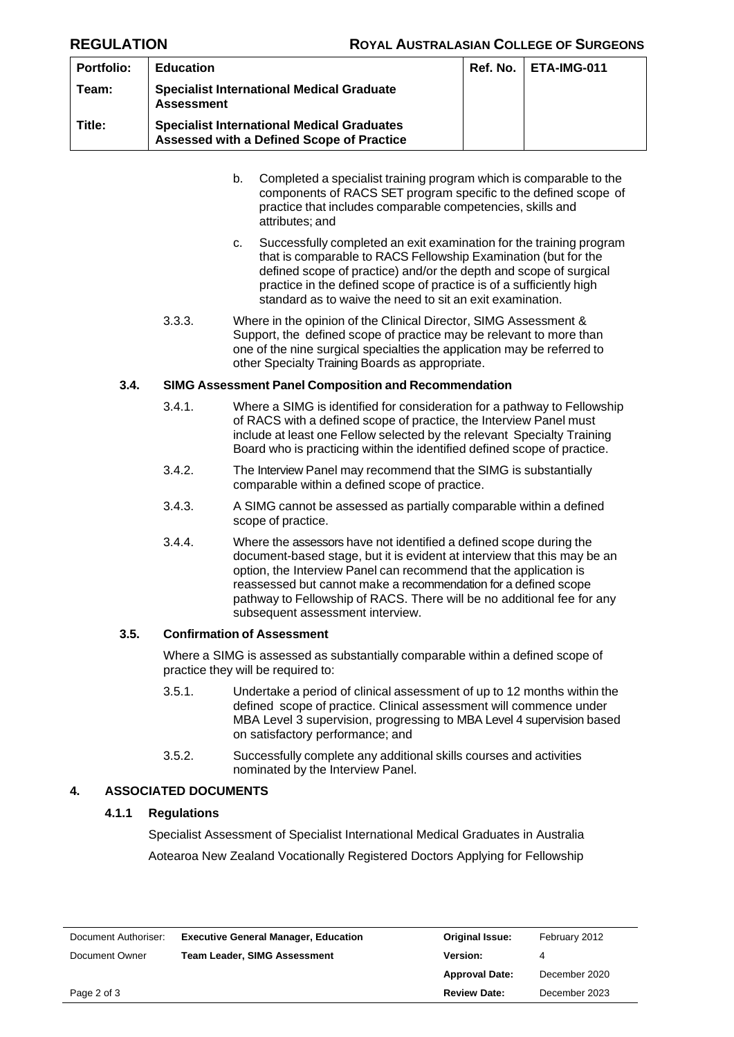| <b>Portfolio:</b> | <b>Education</b>                                                                               | <b>Ref. No.   ETA-IMG-011</b> |
|-------------------|------------------------------------------------------------------------------------------------|-------------------------------|
| Team:             | <b>Specialist International Medical Graduate</b><br><b>Assessment</b>                          |                               |
| Title:            | <b>Specialist International Medical Graduates</b><br>Assessed with a Defined Scope of Practice |                               |

- b. Completed a specialist training program which is comparable to the components of RACS SET program specific to the defined scope of practice that includes comparable competencies, skills and attributes; and
- c. Successfully completed an exit examination for the training program that is comparable to RACS Fellowship Examination (but for the defined scope of practice) and/or the depth and scope of surgical practice in the defined scope of practice is of a sufficiently high standard as to waive the need to sit an exit examination.
- 3.3.3. Where in the opinion of the Clinical Director, SIMG Assessment & Support, the defined scope of practice may be relevant to more than one of the nine surgical specialties the application may be referred to other Specialty Training Boards as appropriate.

### **3.4. SIMG Assessment Panel Composition and Recommendation**

- 3.4.1. Where a SIMG is identified for consideration for a pathway to Fellowship of RACS with a defined scope of practice, the Interview Panel must include at least one Fellow selected by the relevant Specialty Training Board who is practicing within the identified defined scope of practice.
- 3.4.2. The Interview Panel may recommend that the SIMG is substantially comparable within a defined scope of practice.
- 3.4.3. A SIMG cannot be assessed as partially comparable within a defined scope of practice.
- 3.4.4. Where the assessors have not identified a defined scope during the document-based stage, but it is evident at interview that this may be an option, the Interview Panel can recommend that the application is reassessed but cannot make a recommendation for a defined scope pathway to Fellowship of RACS. There will be no additional fee for any subsequent assessment interview.

### **3.5. Confirmation of Assessment**

Where a SIMG is assessed as substantially comparable within a defined scope of practice they will be required to:

- 3.5.1. Undertake a period of clinical assessment of up to 12 months within the defined scope of practice. Clinical assessment will commence under MBA Level 3 supervision, progressing to MBA Level 4 supervision based on satisfactory performance; and
- 3.5.2. Successfully complete any additional skills courses and activities nominated by the Interview Panel.

# **4. ASSOCIATED DOCUMENTS**

### **4.1.1 Regulations**

Specialist Assessment of Specialist International Medical Graduates in Australia Aotearoa New Zealand Vocationally Registered Doctors Applying for Fellowship

| Document Authoriser: | <b>Executive General Manager, Education</b> | <b>Original Issue:</b> | February 2012 |
|----------------------|---------------------------------------------|------------------------|---------------|
| Document Owner       | <b>Team Leader, SIMG Assessment</b>         | <b>Version:</b>        | 4             |
|                      |                                             | <b>Approval Date:</b>  | December 2020 |
| Page 2 of 3          |                                             | <b>Review Date:</b>    | December 2023 |